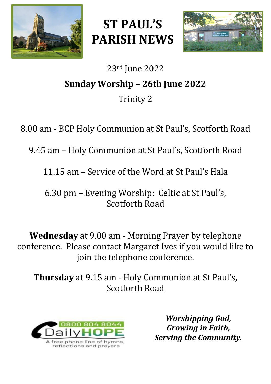

**ST PAUL'S PARISH NEWS**



# 23rd June 2022 **Sunday Worship – 26th June 2022** Trinity 2

8.00 am - BCP Holy Communion at St Paul's, Scotforth Road

9.45 am – Holy Communion at St Paul's, Scotforth Road

11.15 am – Service of the Word at St Paul's Hala

6.30 pm – Evening Worship: Celtic at St Paul's, Scotforth Road

**Wednesday** at 9.00 am - Morning Prayer by telephone conference. Please contact Margaret Ives if you would like to join the telephone conference.

**Thursday** at 9.15 am - Holy Communion at St Paul's, Scotforth Road



*Worshipping God, Growing in Faith, Serving the Community.*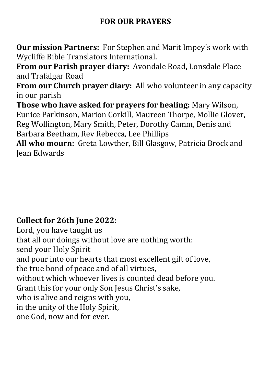## **FOR OUR PRAYERS**

**Our mission Partners:** For Stephen and Marit Impey's work with Wycliffe Bible Translators International.

**From our Parish prayer diary:** Avondale Road, Lonsdale Place and Trafalgar Road

**From our Church prayer diary:** All who volunteer in any capacity in our parish

**Those who have asked for prayers for healing:** Mary Wilson, Eunice Parkinson, Marion Corkill, Maureen Thorpe, Mollie Glover, Reg Wollington, Mary Smith, Peter, Dorothy Camm, Denis and Barbara Beetham, Rev Rebecca, Lee Phillips

**All who mourn:** Greta Lowther, Bill Glasgow, Patricia Brock and Jean Edwards

## **Collect for 26th June 2022:**

Lord, you have taught us that all our doings without love are nothing worth: send your Holy Spirit and pour into our hearts that most excellent gift of love, the true bond of peace and of all virtues, without which whoever lives is counted dead before you. Grant this for your only Son Jesus Christ's sake, who is alive and reigns with you, in the unity of the Holy Spirit, one God, now and for ever.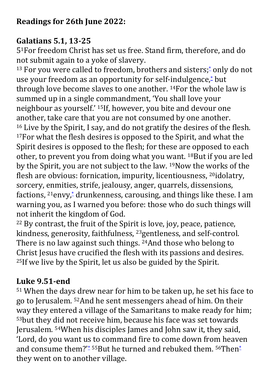## **Galatians 5.1, 13-25**

51For freedom Christ has set us free. Stand firm, therefore, and do not submit again to a yoke of slavery.

<sup>13</sup> For you were called to freedom, brothers and sisters;<sup>[\\*](javascript:void(0);)</sup> only do not use your freedom as an opportunity for self-indulgence,[\\*](javascript:void(0);) but through love become slaves to one another. 14For the whole law is summed up in a single commandment, 'You shall love your neighbour as yourself.' 15If, however, you bite and devour one another, take care that you are not consumed by one another. <sup>16</sup> Live by the Spirit, I say, and do not gratify the desires of the flesh. <sup>17</sup>For what the flesh desires is opposed to the Spirit, and what the Spirit desires is opposed to the flesh; for these are opposed to each other, to prevent you from doing what you want. 18But if you are led by the Spirit, you are not subject to the law. 19Now the works of the flesh are obvious: fornication, impurity, licentiousness, 20idolatry, sorcery, enmities, strife, jealousy, anger, quarrels, dissensions, factions,  $^{21}$ envy, $^{*}$  $^{*}$  $^{*}$  drunkenness, carousing, and things like these. I am warning you, as I warned you before: those who do such things will not inherit the kingdom of God.

<sup>22</sup> By contrast, the fruit of the Spirit is love, joy, peace, patience, kindness, generosity, faithfulness, 23gentleness, and self-control. There is no law against such things. 24And those who belong to Christ Jesus have crucified the flesh with its passions and desires. <sup>25</sup>If we live by the Spirit, let us also be guided by the Spirit.

# **Luke 9.51-end**

<sup>51</sup> When the days drew near for him to be taken up, he set his face to go to Jerusalem. 52And he sent messengers ahead of him. On their way they entered a village of the Samaritans to make ready for him; <sup>53</sup>but they did not receive him, because his face was set towards Jerusalem. 54When his disciples James and John saw it, they said, 'Lord, do you want us to command fire to come down from heaven and consume them?'<sup>[\\*](javascript:void(0);)</sup> 55But he turned and rebuked them. <sup>56</sup>Then<sup>\*</sup> they went on to another village.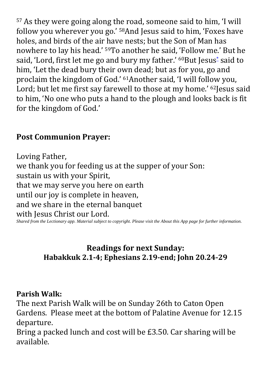<sup>57</sup> As they were going along the road, someone said to him, 'I will follow you wherever you go.' 58And Jesus said to him, 'Foxes have holes, and birds of the air have nests; but the Son of Man has nowhere to lay his head.' 59To another he said, 'Follow me.' But he said, 'Lord, first let me go and bury my father.' <sup>60</sup>But Jesus<sup>[\\*](javascript:void(0);)</sup> said to him, 'Let the dead bury their own dead; but as for you, go and proclaim the kingdom of God.' 61Another said, 'I will follow you, Lord; but let me first say farewell to those at my home.' <sup>62</sup>Jesus said to him, 'No one who puts a hand to the plough and looks back is fit for the kingdom of God.'

## **Post Communion Prayer:**

Loving Father, we thank you for feeding us at the supper of your Son: sustain us with your Spirit, that we may serve you here on earth until our joy is complete in heaven, and we share in the eternal banquet with Jesus Christ our Lord. *Shared from the Lectionary app. Material subject to copyright. Please visit the About this App page for further information.*

#### **Readings for next Sunday: Habakkuk 2.1-4; Ephesians 2.19-end; John 20.24-29**

### **Parish Walk:**

The next Parish Walk will be on Sunday 26th to Caton Open Gardens. Please meet at the bottom of Palatine Avenue for 12.15 departure.

Bring a packed lunch and cost will be £3.50. Car sharing will be available.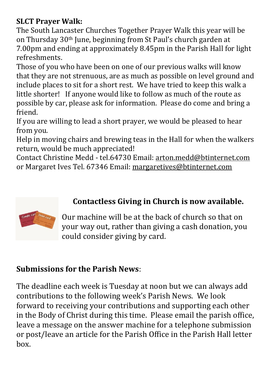## **SLCT Prayer Walk:**

The South Lancaster Churches Together Prayer Walk this year will be on Thursday 30th June, beginning from St Paul's church garden at 7.00pm and ending at approximately 8.45pm in the Parish Hall for light refreshments.

Those of you who have been on one of our previous walks will know that they are not strenuous, are as much as possible on level ground and include places to sit for a short rest. We have tried to keep this walk a little shorter! If anyone would like to follow as much of the route as possible by car, please ask for information. Please do come and bring a friend.

If you are willing to lead a short prayer, we would be pleased to hear from you.

Help in moving chairs and brewing teas in the Hall for when the walkers return, would be much appreciated!

Contact Christine Medd - tel.64730 Email: [arton.medd@btinternet.com](mailto:arton.medd@btinternet.com) or Margaret Ives Tel. 67346 Email: [margaretives@btinternet.com](mailto:margaretives@btinternet.com)



# **Contactless Giving in Church is now available.**

Our machine will be at the back of church so that on your way out, rather than giving a cash donation, you could consider giving by card.

## **Submissions for the Parish News**:

The deadline each week is Tuesday at noon but we can always add contributions to the following week's Parish News. We look forward to receiving your contributions and supporting each other in the Body of Christ during this time. Please email the parish office, leave a message on the answer machine for a telephone submission or post/leave an article for the Parish Office in the Parish Hall letter box.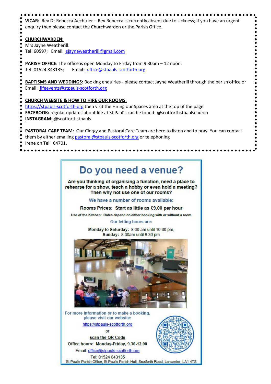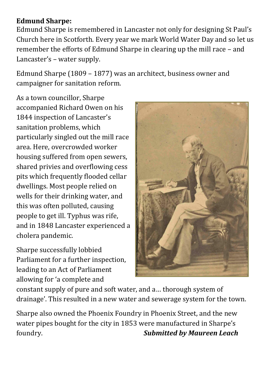#### **Edmund Sharpe:**

Edmund Sharpe is remembered in Lancaster not only for designing St Paul's Church here in Scotforth. Every year we mark World Water Day and so let us remember the efforts of Edmund Sharpe in clearing up the mill race – and Lancaster's – water supply.

Edmund Sharpe (1809 – 1877) was an architect, business owner and campaigner for sanitation reform.

As a town councillor, Sharpe accompanied Richard Owen on his 1844 inspection of Lancaster's sanitation problems, which particularly singled out the mill race area. Here, overcrowded worker housing suffered from open sewers, shared privies and overflowing cess pits which frequently flooded cellar dwellings. Most people relied on wells for their drinking water, and this was often polluted, causing people to get ill. Typhus was rife, and in 1848 Lancaster experienced a cholera pandemic.

Sharpe successfully lobbied Parliament for a further inspection, leading to an Act of Parliament allowing for 'a complete and



constant supply of pure and soft water, and a… thorough system of drainage'. This resulted in a new water and sewerage system for the town.

Sharpe also owned the Phoenix Foundry in Phoenix Street, and the new water pipes bought for the city in 1853 were manufactured in Sharpe's foundry. *Submitted by Maureen Leach*